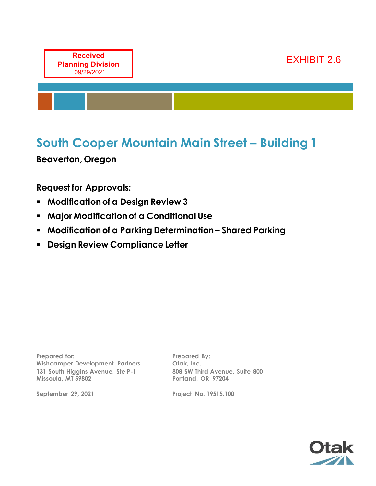

# **South Cooper Mountain Main Street – Building 1**

**Beaverton, Oregon**

**Request for Approvals:**

- **Modification of a Design Review 3**
- **Major Modification of a Conditional Use**
- **Modification of a Parking Determination – Shared Parking**
- **Design Review Compliance Letter**

**Prepared for: Wishcamper Development Partners 131 South Higgins Avenue, Ste P-1 Missoula, MT 59802**

**September 29, 2021**

**Prepared By: Otak, Inc. 808 SW Third Avenue, Suite 800 Portland, OR 97204**

**Project No. 19515.100**

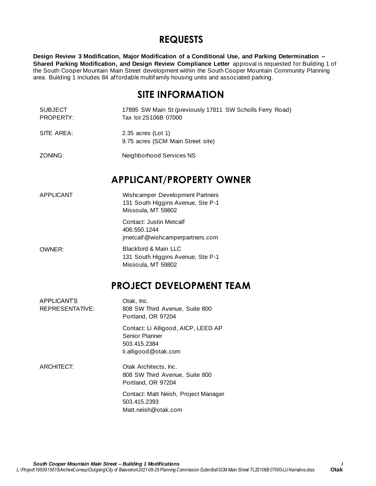# **REQUESTS**

**Design Review 3 Modification, Major Modification of a Conditional Use, and Parking Determination – Shared Parking Modification, and Design Review Compliance Letter** approval is requested for Building 1 of the South Cooper Mountain Main Street development within the South Cooper Mountain Community Planning area. Building 1 includes 84 affordable multifamily housing units and associated parking.

# **SITE INFORMATION**

SUBJECT PROPERTY: 17895 SW Main St (previously 17811 SW Scholls Ferry Road) Tax lot 2S106B 07000

SITE AREA: 2.35 acres (Lot 1) 9.75 acres (SCM Main Street site)

ZONING: Neighborhood Services NS

# **APPLICANT/PROPERTY OWNER**

APPLICANT Wishcamper Development Partners 131 South Higgins Avenue, Ste P-1 Missoula, MT 59802

> Contact: Justin Metcalf 406.550.1244 jmetcalf@wishcamperpartners.com

OWNER: Blackbird & Main LLC 131 South Higgins Avenue, Ste P-1 Missoula, MT 59802

# **PROJECT DEVELOPMENT TEAM**

| <b>APPLICANTS</b><br>REPRESENTATIVE: | Otak, Inc.<br>808 SW Third Avenue, Suite 800<br>Portland, OR 97204                            |  |  |  |  |
|--------------------------------------|-----------------------------------------------------------------------------------------------|--|--|--|--|
|                                      | Contact: Li Alligood, AICP, LEED AP<br>Senior Planner<br>503.415.2384<br>li.alligood@otak.com |  |  |  |  |
| <b>ARCHITECT:</b>                    | Otak Architects, Inc.<br>808 SW Third Avenue, Suite 800<br>Portland, OR 97204                 |  |  |  |  |
|                                      | Contact: Matt Neish, Project Manager<br>503.415.2393<br>Matt.neish@otak.com                   |  |  |  |  |
|                                      |                                                                                               |  |  |  |  |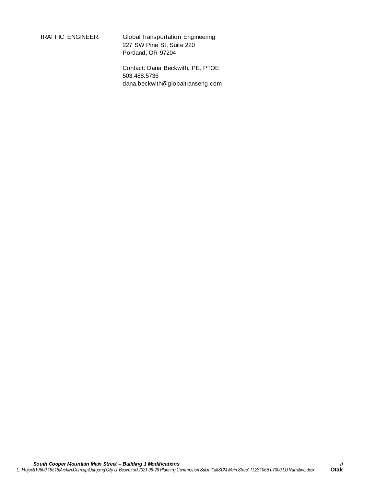TRAFFIC ENGINEER: Global Transportation Engineering 227 SW Pine St, Suite 220 Portland, OR 97204

> Contact: Dana Beckwith, PE, PTOE 503.488.5736 dana.beckwith@globaltranseng.com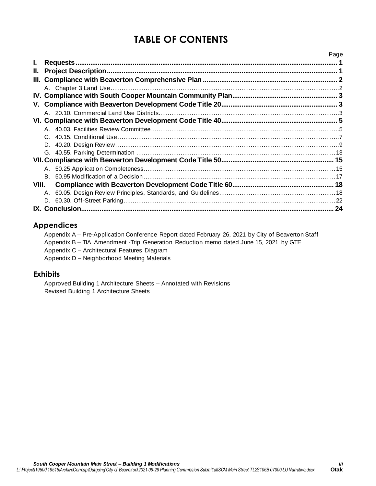# **TABLE OF CONTENTS**

|       |    | Page |
|-------|----|------|
| L.    |    |      |
| II.   |    |      |
|       |    |      |
|       |    |      |
|       |    |      |
|       |    |      |
|       |    |      |
|       |    |      |
|       |    |      |
|       |    |      |
|       |    |      |
|       |    |      |
|       |    |      |
|       |    |      |
|       | B. |      |
| VIII. |    |      |
|       | A. |      |
|       |    |      |
|       |    | 24   |

## **Appendices**

Appendix A – Pre-Application Conference Report dated February 26, 2021 by City of Beaverton Staff Appendix B – TIA Amendment -Trip Generation Reduction memo dated June 15, 2021 by GTE Appendix C – Architectural Features Diagram Appendix D – Neighborhood Meeting Materials

### **Exhibits**

Approved Building 1 Architecture Sheets – Annotated with Revisions Revised Building 1 Architecture Sheets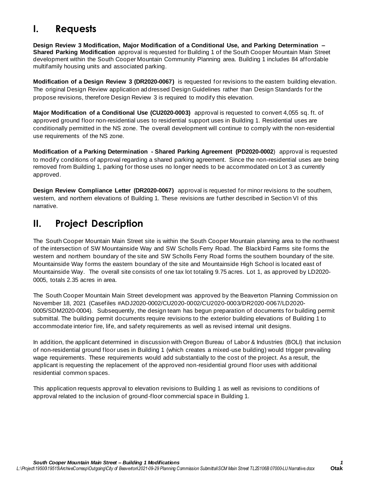# **I. Requests**

**Design Review 3 Modification, Major Modification of a Conditional Use, and Parking Determination – Shared Parking Modification** approval is requested for Building 1 of the South Cooper Mountain Main Street development within the South Cooper Mountain Community Planning area. Building 1 includes 84 affordable multifamily housing units and associated parking.

**Modification of a Design Review 3 (DR2020-0067)** is requested for revisions to the eastern building elevation. The original Design Review application addressed Design Guidelines rather than Design Standards for the propose revisions, therefore Design Review 3 is required to modify this elevation.

**Major Modification of a Conditional Use (CU2020-0003)** approval is requested to convert 4,055 sq. ft. of approved ground floor non-residential uses to residential support uses in Building 1. Residential uses are conditionally permitted in the NS zone. The overall development will continue to comply with the non-residential use requirements of the NS zone.

**Modification of a Parking Determination - Shared Parking Agreement (PD2020-0002**) approval is requested to modify conditions of approval regarding a shared parking agreement. Since the non-residential uses are being removed from Building 1, parking for those uses no longer needs to be accommodated on Lot 3 as currently approved.

**Design Review Compliance Letter (DR2020-0067)** approval is requested for minor revisions to the southern, western, and northern elevations of Building 1. These revisions are further described in Section VI of this narrative.

# **II. Project Description**

The South Cooper Mountain Main Street site is within the South Cooper Mountain planning area to the northwest of the intersection of SW Mountainside Way and SW Scholls Ferry Road. The Blackbird Farms site forms the western and northern boundary of the site and SW Scholls Ferry Road forms the southern boundary of the site. Mountainside Way forms the eastern boundary of the site and Mountainside High School is located east of Mountainside Way. The overall site consists of one tax lot totaling 9.75 acres. Lot 1, as approved by LD2020- 0005, totals 2.35 acres in area.

The South Cooper Mountain Main Street development was approved by the Beaverton Planning Commission on November 18, 2021 (Casefiles #ADJ2020-0002/CU2020-0002/CU2020-0003/DR2020-0067/LD2020- 0005/SDM2020-0004). Subsequently, the design team has begun preparation of documents for building permit submittal. The building permit documents require revisions to the exterior building elevations of Building 1 to accommodate interior fire, life, and safety requirements as well as revised internal unit designs.

In addition, the applicant determined in discussion with Oregon Bureau of Labor & Industries (BOLI) that inclusion of non-residential ground floor uses in Building 1 (which creates a mixed-use building) would trigger prevailing wage requirements. These requirements would add substantially to the cost of the project. As a result, the applicant is requesting the replacement of the approved non-residential ground floor uses with additional residential common spaces.

This application requests approval to elevation revisions to Building 1 as well as revisions to conditions of approval related to the inclusion of ground-floor commercial space in Building 1.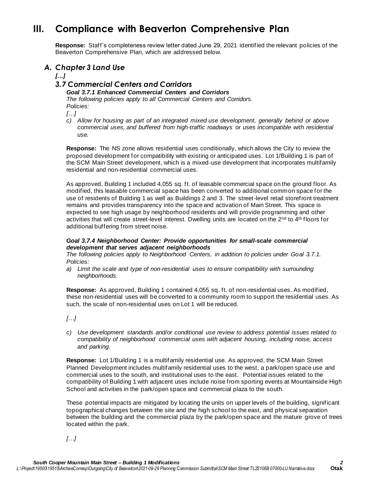# **III. Compliance with Beaverton Comprehensive Plan**

**Response:** Staff's completeness review letter dated June 29, 2021 identified the relevant policies of the Beaverton Comprehensive Plan, which are addressed below.

### *A. Chapter 3 Land Use*

*[…]*

### *3.7 Commercial Centers and Corridors*

*Goal 3.7.1 Enhanced Commercial Centers and Corridors The following policies apply to all Commercial Centers and Corridors. Policies:*

*[…]*

*c) Allow for housing as part of an integrated mixed use development, generally behind or above commercial uses, and buffered from high-traffic roadways or uses incompatible with residential use.*

**Response:** The NS zone allows residential uses conditionally, which allows the City to review the proposed development for compatibility with existing or anticipated uses. Lot 1/Building 1 is part of the SCM Main Street development, which is a mixed-use development that incorporates multifamily residential and non-residential commercial uses.

As approved, Building 1 included 4,055 sq. ft. of leasable commercial space on the ground floor. As modified, this leasable commercial space has been converted to additional common space for the use of residents of Building 1 as well as Buildings 2 and 3. The street-level retail storefront treatment remains and provides transparency into the space and activation of Main Street. This space is expected to see high usage by neighborhood residents and will provide programming and other activities that will create street-level interest. Dwelling units are located on the 2<sup>nd</sup> to 4<sup>th</sup> floors for additional buffering from street noise.

#### *Goal 3.7.4 Neighborhood Center: Provide opportunities for small-scale commercial development that serves adjacent neighborhoods*

*The following policies apply to Neighborhood Centers, in addition to policies under Goal 3.7.1. Policies:*

*a) Limit the scale and type of non-residential uses to ensure compatibility with surrounding neighborhoods.*

**Response:** As approved, Building 1 contained 4,055 sq. ft. of non-residential uses. As modified, these non-residential uses will be converted to a community room to support the residential uses. As such, the scale of non-residential uses on Lot 1 will be reduced.

*[…]*

*c) Use development standards and/or conditional use review to address potential issues related to compatibility of neighborhood commercial uses with adjacent housing, including noise, access and parking.*

**Response:** Lot 1/Building 1 is a multifamily residential use. As approved, the SCM Main Street Planned Development includes multifamily residential uses to the west, a park/open space use and commercial uses to the south, and institutional uses to the east. Potential issues related to the compatibility of Building 1 with adjacent uses include noise from sporting events at Mountainside High School and activities in the park/open space and commercial plaza to the south.

These potential impacts are mitigated by locating the units on upper levels of the building, significant topographical changes between the site and the high school to the east, and physical separation between the building and the commercial plaza by the park/open space and the mature grove of trees located within the park.

*[…]*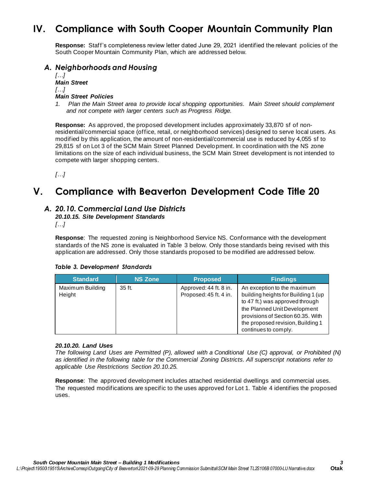# **IV. Compliance with South Cooper Mountain Community Plan**

**Response:** Staff's completeness review letter dated June 29, 2021 identified the relevant policies of the South Cooper Mountain Community Plan, which are addressed below.

### *A. Neighborhoods and Housing*

*[…] Main Street […] Main Street Policies* 

*1. Plan the Main Street area to provide local shopping opportunities. Main Street should complement and not compete with larger centers such as Progress Ridge.* 

**Response:** As approved, the proposed development includes approximately 33,870 sf of nonresidential/commercial space (office, retail, or neighborhood services) designed to serve local users. As modified by this application, the amount of non-residential/commercial use is reduced by 4,055 sf to 29,815 sf on Lot 3 of the SCM Main Street Planned Development. In coordination with the NS zone limitations on the size of each individual business, the SCM Main Street development is not intended to compete with larger shopping centers.

*[…]*

# **V. Compliance with Beaverton Development Code Title 20**

### *A. 20.10. Commercial Land Use Districts*

*20.10.15. Site Development Standards*

*[…]*

**Response**: The requested zoning is Neighborhood Service NS. Conformance with the development standards of the NS zone is evaluated in Table 3 below. Only those standards being revised with this application are addressed. Only those standards proposed to be modified are addressed below.

### *Table 3. Development Standards*

| <b>Standard</b>            | <b>NS Zone</b> | <b>Proposed</b>                                  | <b>Findings</b>                                                                                                                                                                                                                         |
|----------------------------|----------------|--------------------------------------------------|-----------------------------------------------------------------------------------------------------------------------------------------------------------------------------------------------------------------------------------------|
| Maximum Building<br>Height | 35 ft.         | Approved: 44 ft. 8 in.<br>Proposed: 45 ft. 4 in. | An exception to the maximum<br>building heights for Building 1 (up<br>to 47 ft.) was approved through<br>the Planned Unit Development<br>provisions of Section 60.35. With<br>the proposed revision, Building 1<br>continues to comply. |

#### *20.10.20. Land Uses*

*The following Land Uses are Permitted (P), allowed with a Conditional Use (C) approval, or Prohibited (N) as identified in the following table for the Commercial Zoning Districts. All superscript notations refer to applicable Use Restrictions Section 20.10.25.*

**Response**: The approved development includes attached residential dwellings and commercial uses. The requested modifications are specific to the uses approved for Lot 1. Table 4 identifies the proposed uses.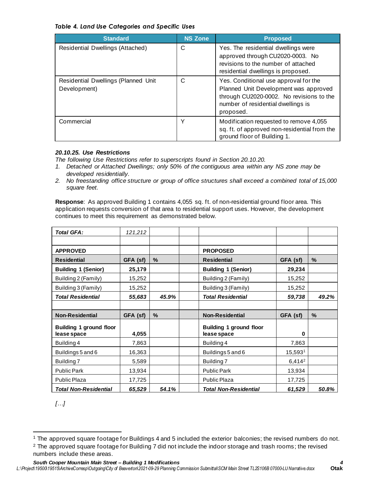#### *Table 4. Land Use Categories and Specific Uses*

| <b>Standard</b>                                     | <b>NS Zone</b> | <b>Proposed</b>                                                                                                                                                               |
|-----------------------------------------------------|----------------|-------------------------------------------------------------------------------------------------------------------------------------------------------------------------------|
| Residential Dwellings (Attached)                    | С              | Yes. The residential dwellings were<br>approved through CU2020-0003. No<br>revisions to the number of attached<br>residential dwellings is proposed.                          |
| Residential Dwellings (Planned Unit<br>Development) | С              | Yes. Conditional use approval for the<br>Planned Unit Development was approved<br>through CU2020-0002. No revisions to the<br>number of residential dwellings is<br>proposed. |
| Commercial                                          | v              | Modification requested to remove 4,055<br>sq. ft. of approved non-residential from the<br>ground floor of Building 1.                                                         |

#### *20.10.25. Use Restrictions*

*The following Use Restrictions refer to superscripts found in Section 20.10.20.*

- *1. Detached or Attached Dwellings; only 50% of the contiguous area within any NS zone may be developed residentially.*
- *2. No freestanding office structure or group of office structures shall exceed a combined total of 15,000 square feet.*

**Response**: As approved Building 1 contains 4,055 sq. ft. of non-residential ground floor area. This application requests conversion of that area to residential support uses. However, the development continues to meet this requirement as demonstrated below.

| <b>Total GFA:</b>              | 121,212  |               |                                |                    |       |
|--------------------------------|----------|---------------|--------------------------------|--------------------|-------|
|                                |          |               |                                |                    |       |
| <b>APPROVED</b>                |          |               | <b>PROPOSED</b>                |                    |       |
| <b>Residential</b>             | GFA (sf) | $\frac{0}{0}$ | <b>Residential</b>             | GFA (sf)           | $\%$  |
| <b>Building 1 (Senior)</b>     | 25,179   |               | <b>Building 1 (Senior)</b>     | 29,234             |       |
| Building 2 (Family)            | 15,252   |               | Building 2 (Family)            | 15,252             |       |
| Building 3 (Family)            | 15,252   |               | Building 3 (Family)            | 15,252             |       |
| <b>Total Residential</b>       | 55,683   | 45.9%         | <b>Total Residential</b>       | 59,738             | 49.2% |
|                                |          |               |                                |                    |       |
|                                |          |               |                                |                    |       |
| <b>Non-Residential</b>         | GFA (sf) | $\%$          | <b>Non-Residential</b>         | GFA (sf)           | $\%$  |
| <b>Building 1 ground floor</b> |          |               | <b>Building 1 ground floor</b> |                    |       |
| lease space                    | 4,055    |               | lease space                    | 0                  |       |
| Building 4                     | 7,863    |               | Building 4                     | 7,863              |       |
| Buildings 5 and 6              | 16,363   |               | Buildings 5 and 6              | 15,5931            |       |
| Building 7                     | 5,589    |               | Building 7                     | 6,414 <sup>2</sup> |       |
| <b>Public Park</b>             | 13,934   |               | <b>Public Park</b>             | 13,934             |       |
| Public Plaza                   | 17,725   |               | Public Plaza                   | 17,725             |       |

*[…]*

<sup>1</sup> The approved square footage for Buildings 4 and 5 included the exterior balconies; the revised numbers do not.

<sup>&</sup>lt;sup>2</sup> The approved square footage for Building 7 did not include the indoor storage and trash rooms; the revised numbers include these areas.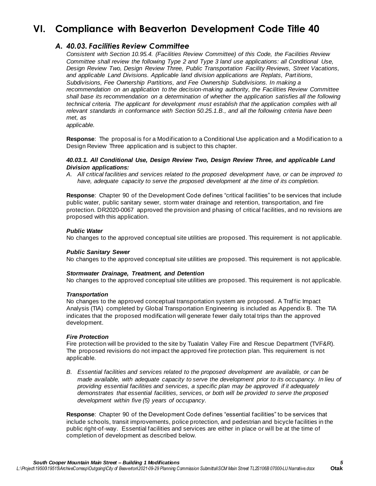# **VI. Compliance with Beaverton Development Code Title 40**

### *A. 40.03. Facilities Review Committee*

*Consistent with Section 10.95.4. (Facilities Review Committee) of this Code, the Facilities Review Committee shall review the following Type 2 and Type 3 land use applications: all Conditional Use, Design Review Two, Design Review Three, Public Transportation Facility Reviews, Street Vacations, and applicable Land Divisions. Applicable land division applications are Replats, Partitions, Subdivisions, Fee Ownership Partitions, and Fee Ownership Subdivisions. In making a recommendation on an application to the decision-making authority, the Facilities Review Committee shall base its recommendation on a determination of whether the application satisfies all the following technical criteria. The applicant for development must establish that the application complies with all relevant standards in conformance with Section 50.25.1.B., and all the following criteria have been met, as*

*applicable.*

**Response**: The proposal is for a Modification to a Conditional Use application and a Modification to a Design Review Three application and is subject to this chapter.

#### *40.03.1. All Conditional Use, Design Review Two, Design Review Three, and applicable Land Division applications:*

*A. All critical facilities and services related to the proposed development have, or can be improved to have, adequate capacity to serve the proposed development at the time of its completion.*

**Response**: Chapter 90 of the Development Code defines "critical facilities" to be services that include public water, public sanitary sewer, storm water drainage and retention, transportation, and fire protection. DR2020-0067 approved the provision and phasing of critical facilities, and no revisions are proposed with this application.

#### *Public Water*

No changes to the approved conceptual site utilities are proposed. This requirement is not applicable.

#### *Public Sanitary Sewer*

No changes to the approved conceptual site utilities are proposed. This requirement is not applicable.

#### *Stormwater Drainage, Treatment, and Detention*

No changes to the approved conceptual site utilities are proposed. This requirement is not applicable.

#### *Transportation*

No changes to the approved conceptual transportation system are proposed. A Traffic Impact Analysis (TIA) completed by Global Transportation Engineering is included as Appendix B. The TIA indicates that the proposed modification will generate fewer daily total trips than the approved development.

#### *Fire Protection*

Fire protection will be provided to the site by Tualatin Valley Fire and Rescue Department (TVF&R). The proposed revisions do not impact the approved fire protection plan. This requirement is not applicable.

*B. Essential facilities and services related to the proposed development are available, or can be made available, with adequate capacity to serve the development prior to its occupancy. In lieu of providing essential facilities and services, a specific plan may be approved if it adequately demonstrates that essential facilities, services, or both will be provided to serve the proposed development within five (5) years of occupancy.*

**Response**: Chapter 90 of the Development Code defines "essential facilities" to be services that include schools, transit improvements, police protection, and pedestrian and bicycle facilities in the public right-of-way. Essential facilities and services are either in place or will be at the time of completion of development as described below.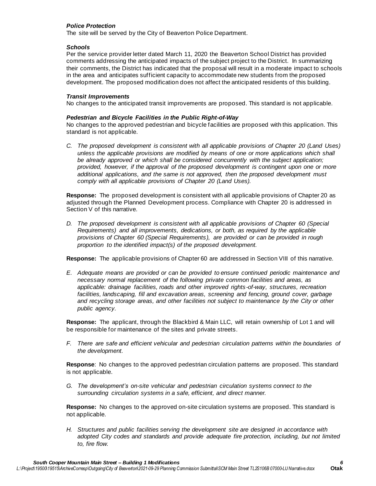#### *Police Protection*

The site will be served by the City of Beaverton Police Department.

#### *Schools*

Per the service provider letter dated March 11, 2020 the Beaverton School District has provided comments addressing the anticipated impacts of the subject project to the District. In summarizing their comments, the District has indicated that the proposal will result in a moderate impact to schools in the area and anticipates sufficient capacity to accommodate new students from the proposed development. The proposed modification does not affect the anticipated residents of this building.

#### *Transit Improvements*

No changes to the anticipated transit improvements are proposed. This standard is not applicable.

#### *Pedestrian and Bicycle Facilities in the Public Right-of-Way*

No changes to the approved pedestrian and bicycle facilities are proposed with this application. This standard is not applicable.

*C. The proposed development is consistent with all applicable provisions of Chapter 20 (Land Uses)*  unless the applicable provisions are modified by means of one or more applications which shall be already approved or which shall be considered concurrently with the subject application; *provided, however, if the approval of the proposed development is contingent upon one or more additional applications, and the same is not approved, then the proposed development must comply with all applicable provisions of Chapter 20 (Land Uses).*

**Response:** The proposed development is consistent with all applicable provisions of Chapter 20 as adjusted through the Planned Development process. Compliance with Chapter 20 is addressed in Section V of this narrative.

*D. The proposed development is consistent with all applicable provisions of Chapter 60 (Special Requirements) and all improvements, dedications, or both, as required by the applicable provisions of Chapter 60 (Special Requirements), are provided or can be provided in rough proportion to the identified impact(s) of the proposed development.*

**Response:** The applicable provisions of Chapter 60 are addressed in Section VIII of this narrative.

*E. Adequate means are provided or can be provided to ensure continued periodic maintenance and necessary normal replacement of the following private common facilities and areas, as applicable: drainage facilities, roads and other improved rights-of-way, structures, recreation*  facilities, landscaping, fill and excavation areas, screening and fencing, ground cover, garbage *and recycling storage areas, and other facilities not subject to maintenance by the City or other public agency.*

**Response:** The applicant, through the Blackbird & Main LLC, will retain ownership of Lot 1 and will be responsible for maintenance of the sites and private streets.

*F. There are safe and efficient vehicular and pedestrian circulation patterns within the boundaries of the development.*

**Response**: No changes to the approved pedestrian circulation patterns are proposed. This standard is not applicable.

*G. The development's on-site vehicular and pedestrian circulation systems connect to the surrounding circulation systems in a safe, efficient, and direct manner.*

**Response:** No changes to the approved on-site circulation systems are proposed. This standard is not applicable.

*H. Structures and public facilities serving the development site are designed in accordance with adopted City codes and standards and provide adequate fire protection, including, but not limited to, fire flow.*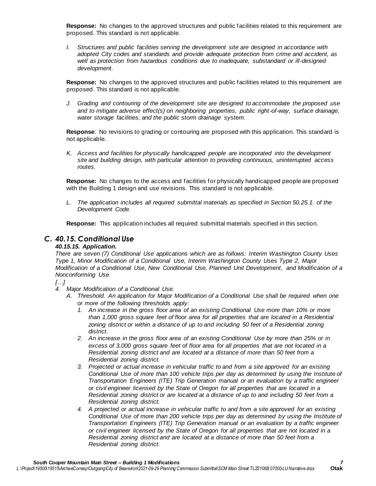**Response:** No changes to the approved structures and public facilities related to this requirement are proposed. This standard is not applicable.

*I. Structures and public facilities serving the development site are designed in accordance with adopted City codes and standards and provide adequate protection from crime and accident, as well as protection from hazardous conditions due to inadequate, substandard or ill-designed development.*

**Response:** No changes to the approved structures and public facilities related to this requirement are proposed. This standard is not applicable.

*J. Grading and contouring of the development site are designed to accommodate the proposed use and to mitigate adverse effect(s) on neighboring properties, public right-of-way, surface drainage, water storage facilities, and the public storm drainage system.*

**Response**: No revisions to grading or contouring are proposed with this application. This standard is not applicable.

*K. Access and facilities for physically handicapped people are incorporated into the development site and building design, with particular attention to providing continuous, uninterrupted access routes.*

**Response:** No changes to the access and facilities for physically handicapped people are proposed with the Building 1 design and use revisions. This standard is not applicable.

*L. The application includes all required submittal materials as specified in Section 50.25.1. of the Development Code.*

**Response:** This application includes all required submittal materials specified in this section.

### *C. 40.15. Conditional Use*

#### *40.15.15. Application.*

*There are seven (7) Conditional Use applications which are as follows: Interim Washington County Uses Type 1, Minor Modification of a Conditional Use, Interim Washington County Uses Type 2, Major Modification of a Conditional Use, New Conditional Use, Planned Unit Development, and Modification of a Nonconforming Use*

#### *[…]*

- *4. Major Modification of a Conditional Use.*
	- *A. Threshold. An application for Major Modification of a Conditional Use shall be required when one or more of the following thresholds apply:*
		- *1. An increase in the gross floor area of an existing Conditional Use more than 10% or more than 1,000 gross square feet of floor area for all properties that are located in a Residential*  zoning district or within a distance of up to and including 50 feet of a Residential zoning *district.*
		- *2. An increase in the gross floor area of an existing Conditional Use by more than 25% or in excess of 3,000 gross square feet of floor area for all properties that are not located in a Residential zoning district and are located at a distance of more than 50 feet from a Residential zoning district.*
		- *3. Projected or actual increase in vehicular traffic to and from a site approved for an existing Conditional Use of more than 100 vehicle trips per day as determined by using the Institute of Transportation Engineers (ITE) Trip Generation manual or an evaluation by a traffic engineer or civil engineer licensed by the State of Oregon for all properties that are located in a Residential zoning district or are located at a distance of up to and including 50 feet from a Residential zoning district.*
		- *4. A projected or actual increase in vehicular traffic to and from a site approved for an existing Conditional Use of more than 200 vehicle trips per day as determined by using the Institute of Transportation Engineers (ITE) Trip Generation manual or an evaluation by a traffic engineer or civil engineer licensed by the State of Oregon for all properties that are not located in a Residential zoning district and are located at a distance of more than 50 feet from a Residential zoning district.*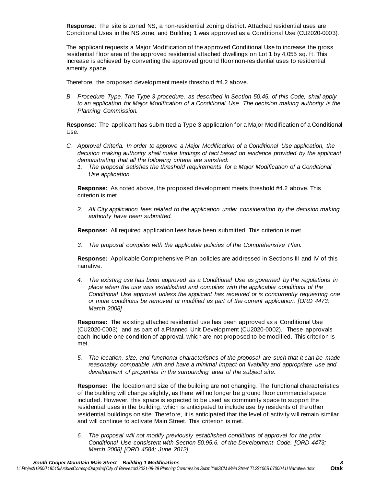**Response**: The site is zoned NS, a non-residential zoning district. Attached residential uses are Conditional Uses in the NS zone, and Building 1 was approved as a Conditional Use (CU2020-0003).

The applicant requests a Major Modification of the approved Conditional Use to increase the gross residential floor area of the approved residential attached dwellings on Lot 1 by 4,055 sq. ft. This increase is achieved by converting the approved ground floor non-residential uses to residential amenity space.

Therefore, the proposed development meets threshold #4.2 above.

*B. Procedure Type. The Type 3 procedure, as described in Section 50.45. of this Code, shall apply to an application for Major Modification of a Conditional Use. The decision making authority is the Planning Commission.*

**Response**: The applicant has submitted a Type 3 application for a Major Modification of a Conditional Use.

- *C. Approval Criteria. In order to approve a Major Modification of a Conditional Use application, the decision making authority shall make findings of fact based on evidence provided by the applicant demonstrating that all the following criteria are satisfied:*
	- *1. The proposal satisfies the threshold requirements for a Major Modification of a Conditional Use application.*

**Response:** As noted above, the proposed development meets threshold #4.2 above. This criterion is met.

*2. All City application fees related to the application under consideration by the decision making authority have been submitted.*

**Response:** All required application fees have been submitted. This criterion is met.

*3. The proposal complies with the applicable policies of the Comprehensive Plan.*

**Response:** Applicable Comprehensive Plan policies are addressed in Sections III and IV of this narrative.

*4. The existing use has been approved as a Conditional Use as governed by the regulations in place when the use was established and complies with the applicable conditions of the Conditional Use approval unless the applicant has received or is concurrently requesting one or more conditions be removed or modified as part of the current application. [ORD 4473; March 2008]*

**Response:** The existing attached residential use has been approved as a Conditional Use (CU2020-0003) and as part of a Planned Unit Development (CU2020-0002). These approvals each include one condition of approval, which are not proposed to be modified. This criterion is met.

*5. The location, size, and functional characteristics of the proposal are such that it can be made reasonably compatible with and have a minimal impact on livability and appropriate use and development of properties in the surrounding area of the subject site.*

**Response:** The location and size of the building are not changing. The functional characteristics of the building will change slightly, as there will no longer be ground floor commercial space included. However, this space is expected to be used as community space to support the residential uses in the building, which is anticipated to include use by residents of the other residential buildings on site. Therefore, it is anticipated that the level of activity will remain similar and will continue to activate Main Street. This criterion is met.

*6. The proposal will not modify previously established conditions of approval for the prior Conditional Use consistent with Section 50.95.6. of the Development Code. [ORD 4473; March 2008] [ORD 4584; June 2012]*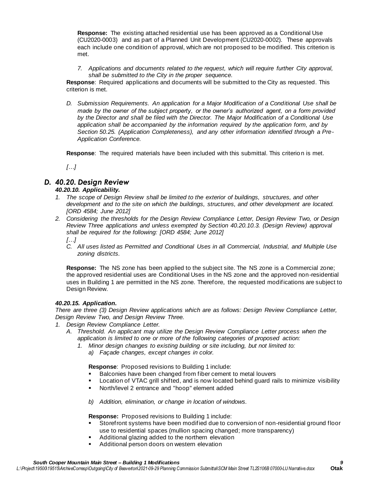**Response:** The existing attached residential use has been approved as a Conditional Use (CU2020-0003) and as part of a Planned Unit Development (CU2020-0002). These approvals each include one condition of approval, which are not proposed to be modified. This criterion is met.

*7. Applications and documents related to the request, which will require further City approval, shall be submitted to the City in the proper sequence.*

**Response**: Required applications and documents will be submitted to the City as requested. This criterion is met.

*D. Submission Requirements. An application for a Major Modification of a Conditional Use shall be made by the owner of the subject property, or the owner's authorized agent, on a form provided by the Director and shall be filed with the Director. The Major Modification of a Conditional Use application shall be accompanied by the information required by the application form, and by Section 50.25. (Application Completeness), and any other information identified through a Pre-Application Conference.*

**Response**: The required materials have been included with this submittal. This criterio n is met.

*[…]*

### *D. 40.20. Design Review*

*40.20.10. Applicability.*

- *1. The scope of Design Review shall be limited to the exterior of buildings, structures, and other development and to the site on which the buildings, structures, and other development are located. [ORD 4584; June 2012]*
- *2. Considering the thresholds for the Design Review Compliance Letter, Design Review Two, or Design Review Three applications and unless exempted by Section 40.20.10.3. (Design Review) approval shall be required for the following: [ORD 4584; June 2012]*
	- *[…]*
	- *C. All uses listed as Permitted and Conditional Uses in all Commercial, Industrial, and Multiple Use zoning districts.*

**Response:** The NS zone has been applied to the subject site. The NS zone is a Commercial zone; the approved residential uses are Conditional Uses in the NS zone and the approved non-residential uses in Building 1 are permitted in the NS zone. Therefore, the requested modifications are subject to Design Review.

#### *40.20.15. Application.*

*There are three (3) Design Review applications which are as follows: Design Review Compliance Letter, Design Review Two, and Design Review Three.*

- *1. Design Review Compliance Letter.*
	- *A. Threshold. An applicant may utilize the Design Review Compliance Letter process when the application is limited to one or more of the following categories of proposed action:*
		- *1. Minor design changes to existing building or site including, but not limited to:*
			- *a) Façade changes, except changes in color.*

**Response**: Proposed revisions to Building 1 include:

- Balconies have been changed from fiber cement to metal louvers
- Location of VTAC grill shifted, and is now located behind guard rails to minimize visibility
- North/level 2 entrance and "hoop" element added

*b) Addition, elimination, or change in location of windows.*

**Response:** Proposed revisions to Building 1 include:

- Storefront systems have been modified due to conversion of non-residential ground floor use to residential spaces (mullion spacing changed; more transparency)
- Additional glazing added to the northern elevation
- Additional person doors on western elevation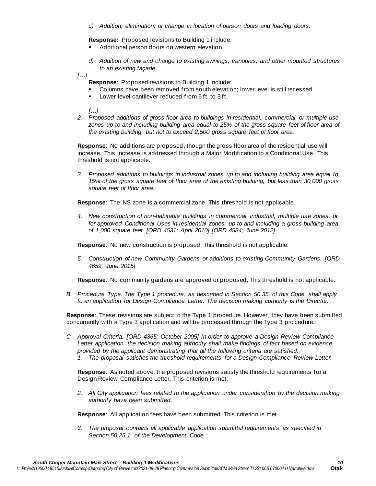*c) Addition, elimination, or change in location of person doors and loading doors.*

**Response:** Proposed revisions to Building 1 include:

- Additional person doors on western elevation
- *d) Addition of new and change to existing awnings, canopies, and other mounted structures to an existing façade.*

*[…]*

- **Response**: Proposed revisions to Building 1 include:
- Columns have been removed from south elevation; lower level is still recessed
- Lower level cantilever reduced from 5 ft. to 3 ft.

*[…]*

*2. Proposed additions of gross floor area to buildings in residential, commercial, or multiple use zones up to and including building area equal to 25% of the gross square feet of floor area of the existing building, but not to exceed 2,500 gross square feet of floor area.*

**Response**: No additions are proposed, though the gross floor area of the residential use will increase. This increase is addressed through a Major Modification to a Conditional Use. This threshold is not applicable.

*3. Proposed additions to buildings in industrial zones up to and including building area equal to 15% of the gross square feet of floor area of the existing building, but less than 30,000 gross square feet of floor area.*

**Response**: The NS zone is a commercial zone. This threshold is not applicable.

*4. New construction of non-habitable buildings in commercial, industrial, multiple use zones, or for approved Conditional Uses in residential zones, up to and including a gross building area of 1,000 square feet. [ORD 4531; April 2010] [ORD 4584; June 2012]*

**Response**: No new construction is proposed. This threshold is not applicable.

*5. Construction of new Community Gardens or additions to existing Community Gardens. [ORD 4659; June 2015]*

**Response**: No community gardens are approved or proposed. This threshold is not applicable.

*B. Procedure Type. The Type 1 procedure, as described in Section 50.35. of this Code, shall apply to an application for Design Compliance Letter. The decision making authority is the Director.*

**Response**: These revisions are subject to the Type 1 procedure. However, they have been submitted concurrently with a Type 3 application and will be processed through the Type 3 pro cedure.

*C. Approval Criteria. [ORD 4365; October 2005] In order to approve a Design Review Compliance Letter application, the decision making authority shall make findings of fact based on evidence provided by the applicant demonstrating that all the following criteria are satisfied: 1. The proposal satisfies the threshold requirements for a Design Compliance Review Letter.*

**Response**: As noted above, the proposed revisions satisfy the threshold requirements for a Design Review Compliance Letter. This criterion is met.

*2. All City application fees related to the application under consideration by the decision making authority have been submitted.*

**Response**: All application fees have been submitted. This criterion is met.

*3. The proposal contains all applicable application submittal requirements as specified in Section 50.25.1. of the Development Code.*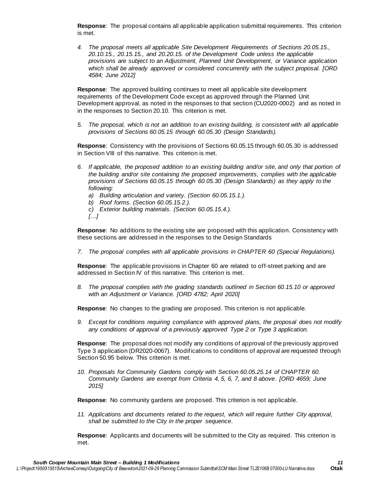**Response**: The proposal contains all applicable application submittal requirements. This criterion is met.

*4. The proposal meets all applicable Site Development Requirements of Sections 20.05.15., 20.10.15., 20.15.15., and 20.20.15. of the Development Code unless the applicable provisions are subject to an Adjustment, Planned Unit Development, or Variance application which shall be already approved or considered concurrently with the subject proposal. [ORD 4584; June 2012]*

**Response**: The approved building continues to meet all applicable site development requirements of the Development Code except as approved through the Planned Unit Development approval, as noted in the responses to that section (CU2020-0002) and as noted in in the responses to Section 20.10. This criterion is met.

*5. The proposal, which is not an addition to an existing building, is consistent with all applicable provisions of Sections 60.05.15 through 60.05.30 (Design Standards).*

**Response**: Consistency with the provisions of Sections 60.05.15 through 60.05.30 is addressed in Section VIII of this narrative. This criterion is met.

- *6. If applicable, the proposed addition to an existing building and/or site, and only that portion of the building and/or site containing the proposed improvements, complies with the applicable provisions of Sections 60.05.15 through 60.05.30 (Design Standards) as they apply to the following:*
	- *a) Building articulation and variety. (Section 60.05.15.1.).*
	- *b) Roof forms. (Section 60.05.15.2.).*
	- *c) Exterior building materials. (Section 60.05.15.4.).*
	- *[…]*

**Response**: No additions to the existing site are proposed with this application. Consistency with these sections are addressed in the responses to the Design Standards

*7. The proposal complies with all applicable provisions in CHAPTER 60 (Special Regulations).*

**Response**: The applicable provisions in Chapter 60 are related to off-street parking and are addressed in Section IV of this narrative. This criterion is met.

*8. The proposal complies with the grading standards outlined in Section 60.15.10 or approved with an Adjustment or Variance. [ORD 4782; April 2020]*

**Response**: No changes to the grading are proposed. This criterion is not applicable.

*9. Except for conditions requiring compliance with approved plans, the proposal does not modify any conditions of approval of a previously approved Type 2 or Type 3 application.*

**Response**: The proposal does not modify any conditions of approval of the previously approved Type 3 application (DR2020-0067). Modifications to conditions of approval are requested through Section 50.95 below. This criterion is met.

*10. Proposals for Community Gardens comply with Section 60.05.25.14 of CHAPTER 60. Community Gardens are exempt from Criteria 4, 5, 6, 7, and 8 above. [ORD 4659; June 2015]*

**Response**: No community gardens are proposed. This criterion is not applicable.

*11. Applications and documents related to the request, which will require further City approval, shall be submitted to the City in the proper sequence.*

**Response**: Applicants and documents will be submitted to the City as required. This criterion is met.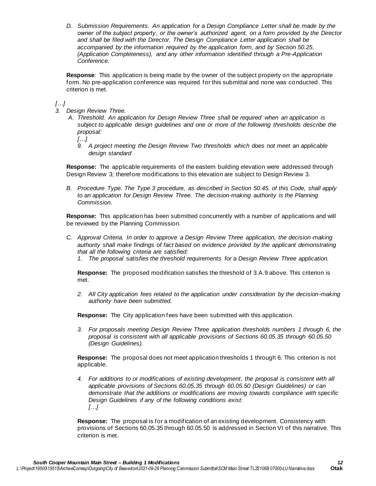*D. Submission Requirements. An application for a Design Compliance Letter shall be made by the owner of the subject property, or the owner's authorized agent, on a form provided by the Director and shall be filed with the Director. The Design Compliance Letter application shall be accompanied by the information required by the application form, and by Section 50.25. (Application Completeness), and any other information identified through a Pre-Application Conference.*

**Response**: This application is being made by the owner of the subject property on the appropriate form. No pre-application conference was required for this submittal and none was co nducted. This criterion is met.

### *[…]*

- *3. Design Review Three.*
	- *A. Threshold. An application for Design Review Three shall be required when an application is subject to applicable design guidelines and one or more of the following thresholds describe the proposal:*
		- *[…]*
		- *9. A project meeting the Design Review Two thresholds which does not meet an applicable design standard*

**Response:** The applicable requirements of the eastern building elevation were addressed through Design Review 3; therefore modifications to this elevation are subject to Design Review 3.

*B. Procedure Type. The Type 3 procedure, as described in Section 50.45. of this Code, shall apply to an application for Design Review Three. The decision-making authority is the Planning Commission.*

**Response:** This application has been submitted concurrently with a number of applications and will be reviewed by the Planning Commission.

- *C. Approval Criteria. In order to approve a Design Review Three application, the decision-making authority shall make findings of fact based on evidence provided by the applicant demonstrating that all the following criteria are satisfied:*
	- *1. The proposal satisfies the threshold requirements for a Design Review Three application.*

**Response:** The proposed modification satisfies the threshold of 3.A.9 above. This criterion is met.

*2. All City application fees related to the application under consideration by the decision-making authority have been submitted.*

**Response:** The City application fees have been submitted with this application.

*3. For proposals meeting Design Review Three application thresholds numbers 1 through 6, the proposal is consistent with all applicable provisions of Sections 60.05.35 through 60.05.50 (Design Guidelines).*

**Response:** The proposal does not meet application thresholds 1 through 6. This criterion is not applicable.

*4. For additions to or modifications of existing development, the proposal is consistent with all applicable provisions of Sections 60.05.35 through 60.05.50 (Design Guidelines) or can demonstrate that the additions or modifications are moving towards compliance with specific Design Guidelines if any of the following conditions exist: […]*

**Response:** The proposal is for a modification of an existing development. Consistency with provisions of Sections 60.05.35 through 60.05.50 is addressed in Section VI of this narrative. This criterion is met.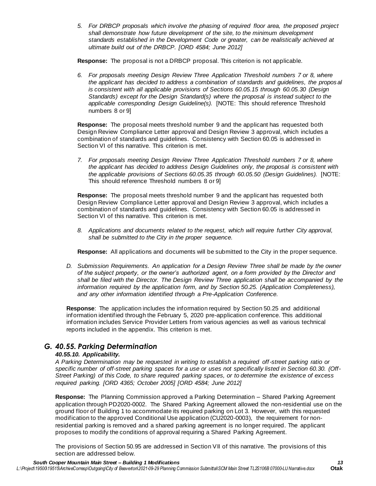*5. For DRBCP proposals which involve the phasing of required floor area, the proposed project shall demonstrate how future development of the site, to the minimum development standards established in the Development Code or greater, can be realistically achieved at ultimate build out of the DRBCP. [ORD 4584; June 2012]*

**Response:** The proposal is not a DRBCP proposal. This criterion is not applicable.

*6. For proposals meeting Design Review Three Application Threshold numbers 7 or 8, where the applicant has decided to address a combination of standards and guidelines, the propos al is consistent with all applicable provisions of Sections 60.05.15 through 60.05.30 (Design Standards) except for the Design Standard(s) where the proposal is instead subject to the applicable corresponding Design Guideline(s).* [NOTE: This should reference Threshold numbers 8 or 9]

**Response:** The proposal meets threshold number 9 and the applicant has requested both Design Review Compliance Letter approval and Design Review 3 approval, which includes a combination of standards and guidelines. Consistency with Section 60.05 is addressed in Section VI of this narrative. This criterion is met.

*7. For proposals meeting Design Review Three Application Threshold numbers 7 or 8, where the applicant has decided to address Design Guidelines only, the proposal is consistent with the applicable provisions of Sections 60.05.35 through 60.05.50 (Design Guidelines).* [NOTE: This should reference Threshold numbers 8 or 9]

**Response:** The proposal meets threshold number 9 and the applicant has requested both Design Review Compliance Letter approval and Design Review 3 approval, which includes a combination of standards and guidelines. Consistency with Section 60.05 is addressed in Section VI of this narrative. This criterion is met.

*8. Applications and documents related to the request, which will require further City approval, shall be submitted to the City in the proper sequence.*

**Response:** All applications and documents will be submitted to the City in the proper sequence.

*D. Submission Requirements. An application for a Design Review Three shall be made by the owner of the subject property, or the owner's authorized agent, on a form provided by the Director and shall be filed with the Director. The Design Review Three application shall be accompanied by the information required by the application form, and by Section 50.25. (Application Completeness), and any other information identified through a Pre-Application Conference.*

**Response**: The application includes the information required by Section 50.25 and additional information identified through the February 5, 2020 pre-application conference. This additional information includes Service Provider Letters from various agencies as well as various technical reports included in the appendix. This criterion is met.

## *G. 40.55. Parking Determination*

### *40.55.10. Applicability.*

*A Parking Determination may be requested in writing to establish a required off-street parking ratio or specific number of off-street parking spaces for a use or uses not specifically listed in Section 60.30. (Off-Street Parking) of this Code, to share required parking spaces, or to determine the existence of excess required parking. [ORD 4365; October 2005] [ORD 4584; June 2012]*

**Response:** The Planning Commission approved a Parking Determination – Shared Parking Agreement application through PD2020-0002. The Shared Parking Agreement allowed the non-residential use on the ground floor of Building 1 to accommodate its required parking on Lot 3. However, with this requested modification to the approved Conditional Use application (CU2020-0003), the requirement for nonresidential parking is removed and a shared parking agreement is no longer required. The applicant proposes to modify the conditions of approval requiring a Shared Parking Agreement.

The provisions of Section 50.95 are addressed in Section VII of this narrative. The provisions of this section are addressed below.

*South Cooper Mountain Main Street – Building 1 Modifications 13 L:\Project\19500\19515\ArchiveCorresp\Outgoing\City of Beaverton\2021-09-29 Planning Commission Submittal\SCM Main Street TL2S106B 07000-LU Narrative.docx* **Otak**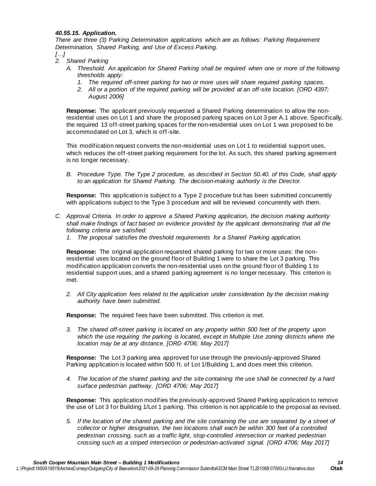#### *40.55.15. Application.*

*There are three (3) Parking Determination applications which are as follows: Parking Requirement Determination, Shared Parking, and Use of Excess Parking.*

*[…]*

- *2. Shared Parking*
	- *A. Threshold. An application for Shared Parking shall be required when one or more of the following thresholds apply:*
		- *1. The required off-street parking for two or more uses will share required parking spaces.*
		- *2. All or a portion of the required parking will be provided at an off-site location. [ORD 4397; August 2006]*

**Response:** The applicant previously requested a Shared Parking determination to allow the nonresidential uses on Lot 1 and share the proposed parking spaces on Lot 3 per A.1 above. Specifically, the required 13 off-street parking spaces for the non-residential uses on Lot 1 was proposed to be accommodated on Lot 3, which is off-site.

This modification request converts the non-residential uses on Lot 1 to residential support uses, which reduces the off-street parking requirement for the lot. As such, this shared parking agreement is no longer necessary.

*B. Procedure Type. The Type 2 procedure, as described in Section 50.40. of this Code, shall apply to an application for Shared Parking. The decision-making authority is the Director.*

**Response:** This application is subject to a Type 2 procedure but has been submitted concurrently with applications subject to the Type 3 procedure and will be reviewed concurrently with them.

- *C. Approval Criteria. In order to approve a Shared Parking application, the decision making authority shall make findings of fact based on evidence provided by the applicant demonstrating that all the following criteria are satisfied:*
	- *1. The proposal satisfies the threshold requirements for a Shared Parking application.*

**Response:** The original application requested shared parking for two or more uses: the nonresidential uses located on the ground floor of Building 1 were to share the Lot 3 parking. This modification application converts the non-residential uses on the ground floor of Building 1 to residential support uses, and a shared parking agreement is no longer necessary. This criterion is met.

*2. All City application fees related to the application under consideration by the decision making authority have been submitted.*

**Response:** The required fees have been submitted. This criterion is met.

*3. The shared off-street parking is located on any property within 500 feet of the property upon which the use requiring the parking is located, except in Multiple Use zoning districts where the location may be at any distance. [ORD 4706; May 2017]*

**Response:** The Lot 3 parking area approved for use through the previously-approved Shared Parking application is located within 500 ft. of Lot 1/Building 1, and does meet this criterion.

*4. The location of the shared parking and the site containing the use shall be connected by a hard surface pedestrian pathway. [ORD 4706; May 2017]*

**Response:** This application modifies the previously-approved Shared Parking application to remove the use of Lot 3 for Building 1/Lot 1 parking. This criterion is not applicable to the proposal as revised.

*5. If the location of the shared parking and the site containing the use are separated by a street of collector or higher designation, the two locations shall each be within 300 feet of a controlled pedestrian crossing, such as a traffic light, stop-controlled intersection or marked pedestrian crossing such as a striped intersection or pedestrian-activated signal. [ORD 4706; May 2017]*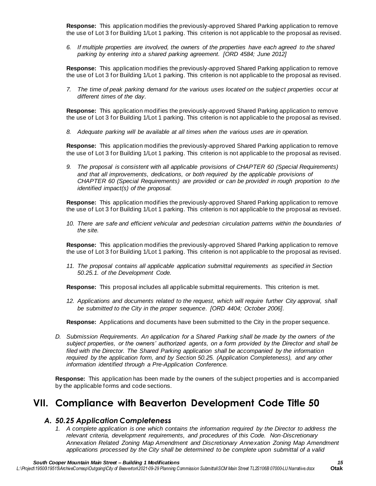**Response:** This application modifies the previously-approved Shared Parking application to remove the use of Lot 3 for Building 1/Lot 1 parking. This criterion is not applicable to the proposal as revised.

*6. If multiple properties are involved, the owners of the properties have each agreed to the shared parking by entering into a shared parking agreement. [ORD 4584; June 2012]*

**Response:** This application modifies the previously-approved Shared Parking application to remove the use of Lot 3 for Building 1/Lot 1 parking. This criterion is not applicable to the proposal as revised.

*7. The time of peak parking demand for the various uses located on the subject properties occur at different times of the day.*

**Response:** This application modifies the previously-approved Shared Parking application to remove the use of Lot 3 for Building 1/Lot 1 parking. This criterion is not applicable to the proposal as revised.

*8. Adequate parking will be available at all times when the various uses are in operation.*

**Response:** This application modifies the previously-approved Shared Parking application to remove the use of Lot 3 for Building 1/Lot 1 parking. This criterion is not applicable to the proposal as revised.

*9. The proposal is consistent with all applicable provisions of CHAPTER 60 (Special Requirements) and that all improvements, dedications, or both required by the applicable provisions of CHAPTER 60 (Special Requirements) are provided or can be provided in rough proportion to the identified impact(s) of the proposal.*

**Response:** This application modifies the previously-approved Shared Parking application to remove the use of Lot 3 for Building 1/Lot 1 parking. This criterion is not applicable to the proposal as revised.

*10. There are safe and efficient vehicular and pedestrian circulation patterns within the boundaries of the site.*

**Response:** This application modifies the previously-approved Shared Parking application to remove the use of Lot 3 for Building 1/Lot 1 parking. This criterion is not applicable to the proposal as revised.

*11. The proposal contains all applicable application submittal requirements as specified in Section 50.25.1. of the Development Code.*

**Response:** This proposal includes all applicable submittal requirements. This criterion is met.

*12. Applications and documents related to the request, which will require further City approval, shall be submitted to the City in the proper sequence. [ORD 4404; October 2006].*

**Response:** Applications and documents have been submitted to the City in the proper sequence.

*D. Submission Requirements. An application for a Shared Parking shall be made by the owners of the subject properties, or the owners' authorized agents, on a form provided by the Director and shall be filed with the Director. The Shared Parking application shall be accompanied by the information required by the application form, and by Section 50.25. (Application Completeness), and any other information identified through a Pre-Application Conference.*

**Response:** This application has been made by the owners of the subject properties and is accompanied by the applicable forms and code sections.

# **VII. Compliance with Beaverton Development Code Title 50**

### *A. 50.25 Application Completeness*

*1. A complete application is one which contains the information required by the Director to address the relevant criteria, development requirements, and procedures of this Code. Non-Discretionary Annexation Related Zoning Map Amendment and Discretionary Annexation Zoning Map Amendment applications processed by the City shall be determined to be complete upon submittal of a valid*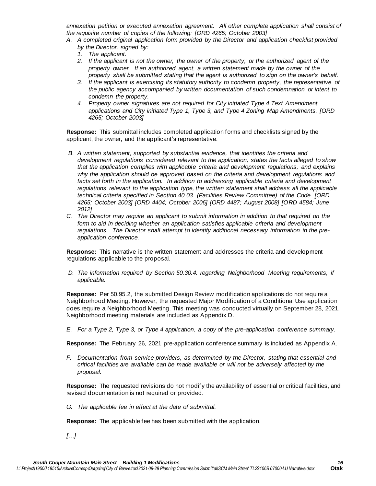*annexation petition or executed annexation agreement. All other complete application shall consist of the requisite number of copies of the following: [ORD 4265; October 2003]* 

- *A. A completed original application form provided by the Director and application checklist provided by the Director, signed by:* 
	- *1. The applicant.*
	- *2. If the applicant is not the owner, the owner of the property, or the authorized agent of the property owner. If an authorized agent, a written statement made by the owner of the property shall be submitted stating that the agent is authorized to sign on the owner's behalf.*
	- *3. If the applicant is exercising its statutory authority to condemn property, the representative of the public agency accompanied by written documentation of such condemnation or intent to condemn the property.*
	- *4. Property owner signatures are not required for City initiated Type 4 Text Amendment applications and City initiated Type 1, Type 3, and Type 4 Zoning Map Amendments. [ORD 4265; October 2003]*

**Response:** This submittal includes completed application forms and checklists signed by the applicant, the owner, and the applicant's representative.

- *B. A written statement, supported by substantial evidence, that identifies the criteria and development regulations considered relevant to the application, states the facts alleged to show that the application complies with applicable criteria and development regulations, and explains why the application should be approved based on the criteria and development regulations and*  facts set forth in the application. In addition to addressing applicable criteria and development *regulations relevant to the application type, the written statement shall address all the applicable technical criteria specified in Section 40.03. (Facilities Review Committee) of the Code. [ORD 4265; October 2003] [ORD 4404; October 2006] [ORD 4487; August 2008] [ORD 4584; June 2012]*
- *C. The Director may require an applicant to submit information in addition to that required on the form to aid in deciding whether an application satisfies applicable criteria and development regulations. The Director shall attempt to identify additional necessary information in the preapplication conference.*

**Response:** This narrative is the written statement and addresses the criteria and development regulations applicable to the proposal.

*D. The information required by Section 50.30.4. regarding Neighborhood Meeting requirements, if applicable.* 

**Response:** Per 50.95.2, the submitted Design Review modification applications do not require a Neighborhood Meeting. However, the requested Major Modification of a Conditional Use application does require a Neighborhood Meeting. This meeting was conducted virtually on September 28, 2021. Neighborhood meeting materials are included as Appendix D.

*E. For a Type 2, Type 3, or Type 4 application, a copy of the pre-application conference summary.* 

**Response:** The February 26, 2021 pre-application conference summary is included as Appendix A.

*F. Documentation from service providers, as determined by the Director, stating that essential and critical facilities are available can be made available or will not be adversely affected by the proposal.* 

**Response:** The requested revisions do not modify the availability of essential or critical facilities, and revised documentation is not required or provided.

*G. The applicable fee in effect at the date of submittal.* 

**Response:** The applicable fee has been submitted with the application.

*[…]*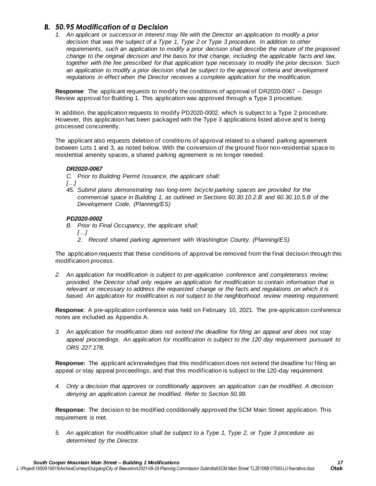### *B. 50.95 Modification of a Decision*

*1. An applicant or successor in interest may file with the Director an application to modify a prior decision that was the subject of a Type 1, Type 2 or Type 3 procedure. In addition to other requirements, such an application to modify a prior decision shall describe the nature of the proposed change to the original decision and the basis for that change, including the applicable facts and law, together with the fee prescribed for that application type necessary to modify the prior decision. Such an application to modify a prior decision shall be subject to the approval criteria and development regulations in effect when the Director receives a complete application for the modification.*

**Response**: The applicant requests to modify the conditions of approval of DR2020-0067 – Design Review approval for Building 1. This application was approved through a Type 3 procedure.

In addition, the application requests to modify PD2020-0002, which is subject to a Type 2 procedure. However, this application has been packaged with the Type 3 applications listed above and is being processed concurrently.

The applicant also requests deletion of conditions of approval related to a shared parking agreement between Lots 1 and 3, as noted below. With the conversion of the ground floor non-residential space to residential amenity spaces, a shared parking agreement is no longer needed.

#### *DR2020-0067*

- *C. Prior to Building Permit Issuance, the applicant shall:*
- *[…]*
- *45. Submit plans demonstrating two long-term bicycle parking spaces are provided for the commercial space in Building 1, as outlined in Sections 60.30.10.2.B and 60.30.10.5.B of the Development Code. (Planning/ES)*

#### *PD2020-0002*

- *B. Prior to Final Occupancy, the applicant shall:* 
	- *[…]*
	- *2. Record shared parking agreement with Washington County. (Planning/ES)*

The application requests that these conditions of approval be removed from the final decision through this modification process.

*2. An application for modification is subject to pre-application conference and completeness review; provided, the Director shall only require an application for modification to contain information that is relevant or necessary to address the requested change or the facts and regulations on which it is based. An application for modification is not subject to the neighborhood review meeting requirement.*

**Response**: A pre-application conference was held on February 10, 2021. The pre-application conference notes are included as Appendix A.

*3. An application for modification does not extend the deadline for filing an appeal and does not stay appeal proceedings. An application for modification is subject to the 120 day requirement pursuant to ORS 227.178.*

**Response:** The applicant acknowledges that this modification does not extend the deadline for filing an appeal or stay appeal proceedings, and that this modification is subject to the 120-day requirement.

*4. Only a decision that approves or conditionally approves an application can be modified. A decision denying an application cannot be modified. Refer to Section 50.99.*

**Response:** The decision to be modified conditionally approved the SCM Main Street application. This requirement is met.

*5. An application for modification shall be subject to a Type 1, Type 2, or Type 3 procedure as determined by the Director.*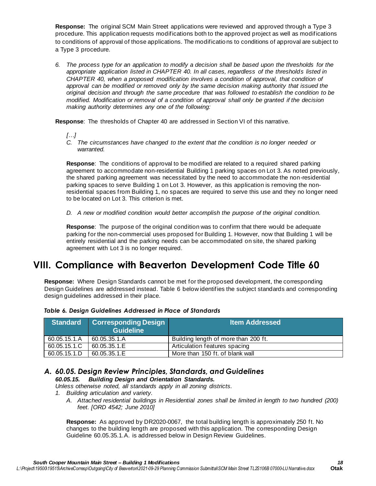**Response:** The original SCM Main Street applications were reviewed and approved through a Type 3 procedure. This application requests modifications both to the approved project as well as modifications to conditions of approval of those applications. The modificatio ns to conditions of approval are subject to a Type 3 procedure.

*6. The process type for an application to modify a decision shall be based upon the thresholds for the appropriate application listed in CHAPTER 40. In all cases, regardless of the thresholds listed in CHAPTER 40, when a proposed modification involves a condition of approval, that condition of approval can be modified or removed only by the same decision making authority that issued the original decision and through the same procedure that was followed to establish the condition to be modified. Modification or removal of a condition of approval shall only be granted if the decision making authority determines any one of the following:*

**Response**: The thresholds of Chapter 40 are addressed in Section VI of this narrative.

- *[…]*
- *C. The circumstances have changed to the extent that the condition is no longer needed or warranted.*

**Response**: The conditions of approval to be modified are related to a required shared parking agreement to accommodate non-residential Building 1 parking spaces on Lot 3. As noted previously, the shared parking agreement was necessitated by the need to accommodate the non-residential parking spaces to serve Building 1 on Lot 3. However, as this application is removing the nonresidential spaces from Building 1, no spaces are required to serve this use and they no longer need to be located on Lot 3. This criterion is met.

*D. A new or modified condition would better accomplish the purpose of the original condition.*

**Response**: The purpose of the original condition was to confirm that there would be adequate parking for the non-commercial uses proposed for Building 1. However, now that Building 1 will be entirely residential and the parking needs can be accommodated on site, the shared parking agreement with Lot 3 is no longer required.

# **VIII. Compliance with Beaverton Development Code Title 60**

**Response:** Where Design Standards cannot be met for the proposed development, the corresponding Design Guidelines are addressed instead. Table 6 below identifies the subject standards and corresponding design guidelines addressed in their place.

| <b>Standard</b> | <b>Corresponding Design</b><br><b>Guideline</b> | <b>Item Addressed</b>                |
|-----------------|-------------------------------------------------|--------------------------------------|
| 60.05.15.1.A    | 60.05.35.1.A                                    | Building length of more than 200 ft. |
| 60.05.15.1.C    | 60.05.35.1.E                                    | Articulation features spacing        |
| 60.05.15.1.D    | 60.05.35.1.E                                    | More than 150 ft. of blank wall      |

### *Table 6. Design Guidelines Addressed in Place of Standards*

#### *A. 60.05. Design Review Principles, Standards, and Guidelines 60.05.15. Building Design and Orientation Standards.*

*Unless otherwise noted, all standards apply in all zoning districts.*

- *1. Building articulation and variety.*
	- *A. Attached residential buildings in Residential zones shall be limited in length to two hundred (200) feet. [ORD 4542; June 2010]*

**Response:** As approved by DR2020-0067, the total building length is approximately 250 ft. No changes to the building length are proposed with this application. The corresponding Design Guideline 60.05.35.1.A. is addressed below in Design Review Guidelines.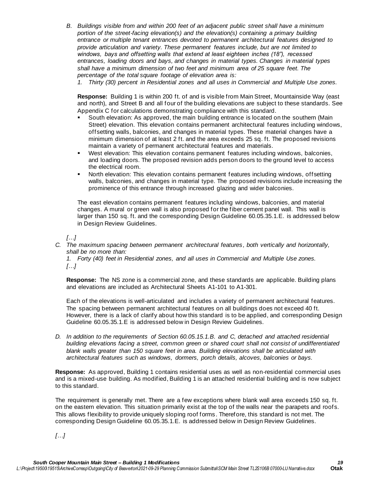- *B. Buildings visible from and within 200 feet of an adjacent public street shall have a minimum portion of the street-facing elevation(s) and the elevation(s) containing a primary building entrance or multiple tenant entrances devoted to permanent architectural features designed to provide articulation and variety. These permanent features include, but are not limited to windows, bays and offsetting walls that extend at least eighteen inches (18"), recessed entrances, loading doors and bays, and changes in material types. Changes in material types shall have a minimum dimension of two feet and minimum area of 25 square feet. The percentage of the total square footage of elevation area is:*
	- *1. Thirty (30) percent in Residential zones and all uses in Commercial and Multiple Use zones.*

**Response:** Building 1 is within 200 ft. of and is visible from Main Street, Mountainside Way (east and north), and Street B and all four of the building elevations are subject to these standards. See Appendix C for calculations demonstrating compliance with this standard.

- South elevation: As approved, the main building entrance is located on the southern (Main Street) elevation. This elevation contains permanent architectural features including windows, offsetting walls, balconies, and changes in material types. These material changes have a minimum dimension of at least 2 ft. and the area exceeds 25 sq. ft. The proposed revisions maintain a variety of permanent architectural features and materials.
- **•** West elevation: This elevation contains permanent features including windows, balconies, and loading doors. The proposed revision adds person doors to the ground level to access the electrical room.
- North elevation: This elevation contains permanent features including windows, offsetting walls, balconies, and changes in material type. The proposed revisions include increasing the prominence of this entrance through increased glazing and wider balconies.

The east elevation contains permanent features including windows, balconies, and material changes. A mural or green wall is also proposed for the fiber cement panel wall. This wall is larger than 150 sq. ft. and the corresponding Design Guideline 60.05.35.1.E. is addressed below in Design Review Guidelines.

*[…]*

*C. The maximum spacing between permanent architectural features, both vertically and horizontally, shall be no more than:*

*1. Forty (40) feet in Residential zones, and all uses in Commercial and Multiple Use zones. […]*

**Response:** The NS zone is a commercial zone, and these standards are applicable. Building plans and elevations are included as Architectural Sheets A1-101 to A1-301.

Each of the elevations is well-articulated and includes a variety of permanent architectural features. The spacing between permanent architectural features on all buildings does not exceed 40 ft. However, there is a lack of clarify about how this standard is to be applied, and corresponding Design Guideline 60.05.35.1.E is addressed below in Design Review Guidelines.

*D. In addition to the requirements of Section 60.05.15.1.B. and C, detached and attached residential building elevations facing a street, common green or shared court shall not consist of undifferentiated blank walls greater than 150 square feet in area. Building elevations shall be articulated with architectural features such as windows, dormers, porch details, alcoves, balconies or bays.* 

**Response:** As approved, Building 1 contains residential uses as well as non-residential commercial uses and is a mixed-use building. As modified, Building 1 is an attached residential building and is now subject to this standard.

The requirement is generally met. There are a few exceptions where blank wall area exceeds 150 sq. ft. on the eastern elevation. This situation primarily exist at the top of the walls near the parapets and roofs. This allows flexibility to provide uniquely sloping roof forms. Therefore, this standard is not met. The corresponding Design Guideline 60.05.35.1.E. is addressed below in Design Review Guidelines.

*[…]*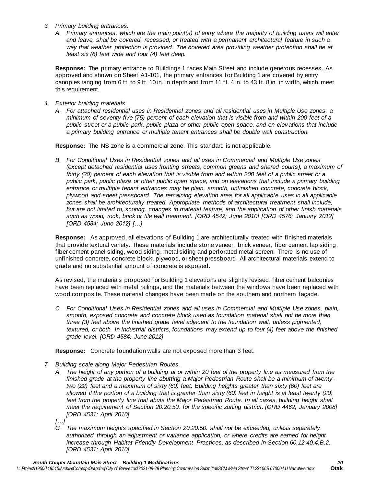- *3. Primary building entrances.* 
	- *A. Primary entrances, which are the main point(s) of entry where the majority of building users will enter and leave, shall be covered, recessed, or treated with a permanent architectural feature in such a way that weather protection is provided. The covered area providing weather protection shall be at least six (6) feet wide and four (4) feet deep.*

**Response:** The primary entrance to Buildings 1 faces Main Street and include generous recesses. As approved and shown on Sheet A1-101, the primary entrances for Building 1 are covered by entry canopies ranging from 6 ft. to 9 ft. 10 in. in depth and from 11 ft. 4 in. to 43 ft. 8 in. in width, which meet this requirement.

- *4. Exterior building materials.*
	- *A. For attached residential uses in Residential zones and all residential uses in Multiple Use zones, a minimum of seventy-five (75) percent of each elevation that is visible from and within 200 feet of a public street or a public park, public plaza or other public open space, and on elevations that include a primary building entrance or multiple tenant entrances shall be double wall construction.*

**Response:** The NS zone is a commercial zone. This standard is not applicable.

*B. For Conditional Uses in Residential zones and all uses in Commercial and Multiple Use zones (except detached residential uses fronting streets, common greens and shared courts), a maximum of thirty (30) percent of each elevation that is visible from and within 200 feet of a public street or a public park, public plaza or other public open space, and on elevations that include a primary building entrance or multiple tenant entrances may be plain, smooth, unfinished concrete, concrete block, plywood and sheet pressboard. The remaining elevation area for all applicable uses in all applicable zones shall be architecturally treated. Appropriate methods of architectural treatment shall include, but are not limited to, scoring, changes in material texture, and the application of other finish materials such as wood, rock, brick or tile wall treatment. [ORD 4542; June 2010] [ORD 4576; January 2012] [ORD 4584; June 2012] […]*

**Response:** As approved, all elevations of Building 1 are architecturally treated with finished materials that provide textural variety. These materials include stone veneer, brick veneer, fiber cement lap siding, fiber cement panel siding, wood siding, metal siding and perforated metal screen. There is no use of unfinished concrete, concrete block, plywood, or sheet pressboard. All architectural materials extend to grade and no substantial amount of concrete is exposed.

As revised, the materials proposed for Building 1 elevations are slightly revised: fiber cement balconies have been replaced with metal railings, and the materials between the windows have been replaced with wood composite. These material changes have been made on the southern and northern façade.

*C. For Conditional Uses in Residential zones and all uses in Commercial and Multiple Use zones, plain, smooth, exposed concrete and concrete block used as foundation material shall not be more than three (3) feet above the finished grade level adjacent to the foundation wall, unless pigmented, textured, or both. In Industrial districts, foundations may extend up to four (4) feet above the finished grade level. [ORD 4584; June 2012]*

**Response:** Concrete foundation walls are not exposed more than 3 feet.

- *7. Building scale along Major Pedestrian Routes.*
	- *A. The height of any portion of a building at or within 20 feet of the property line as measured from the finished grade at the property line abutting a Major Pedestrian Route shall be a minimum of twenty two (22) feet and a maximum of sixty (60) feet. Building heights greater than sixty (60) feet are*  allowed if the portion of a building that is greater than sixty (60) feet in height is at least twenty (20) *feet from the property line that abuts the Major Pedestrian Route. In all cases, building height shall meet the requirement of Section 20.20.50. for the specific zoning district. [ORD 4462; January 2008] [ORD 4531; April 2010]*
	- *[…]*
	- *C. The maximum heights specified in Section 20.20.50. shall not be exceeded, unless separately authorized through an adjustment or variance application, or where credits are earned for height increase through Habitat Friendly Development Practices, as described in Section 60.12.40.4.B.2. [ORD 4531; April 2010]*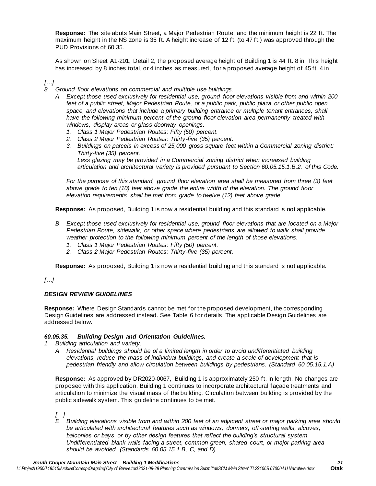**Response:** The site abuts Main Street, a Major Pedestrian Route, and the minimum height is 22 ft. The maximum height in the NS zone is 35 ft. A height increase of 12 ft. (to 47 ft.) was approved through the PUD Provisions of 60.35.

As shown on Sheet A1-201, Detail 2, the proposed average height of Building 1 is 44 ft. 8 in. This height has increased by 8 inches total, or 4 inches as measured, for a proposed average height of 45 ft. 4 in.

### *[…]*

- *8. Ground floor elevations on commercial and multiple use buildings.*
	- *A. Except those used exclusively for residential use, ground floor elevations visible from and within 200 feet of a public street, Major Pedestrian Route, or a public park, public plaza or other public open space, and elevations that include a primary building entrance or multiple tenant entrances, shall*  have the following minimum percent of the ground floor elevation area permanently treated with *windows, display areas or glass doorway openings.*
		- *1. Class 1 Major Pedestrian Routes: Fifty (50) percent.*
		- *2. Class 2 Major Pedestrian Routes: Thirty-five (35) percent.*
		- *3. Buildings on parcels in excess of 25,000 gross square feet within a Commercial zoning district: Thirty-five (35) percent.*

Less glazing may be provided in a Commercial zoning district when increased building *articulation and architectural variety is provided pursuant to Section 60.05.15.1.B.2. of this Code.*

*For the purpose of this standard, ground floor elevation area shall be measured from three (3) feet above grade to ten (10) feet above grade the entire width of the elevation. The ground floor elevation requirements shall be met from grade to twelve (12) feet above grade.*

**Response:** As proposed, Building 1 is now a residential building and this standard is not applicable.

- *B. Except those used exclusively for residential use, ground floor elevations that are located on a Major Pedestrian Route, sidewalk, or other space where pedestrians are allowed to walk shall provide weather protection to the following minimum percent of the length of those elevations.*
	- *1. Class 1 Major Pedestrian Routes: Fifty (50) percent.*
	- *2. Class 2 Major Pedestrian Routes: Thirty-five (35) percent.*

**Response:** As proposed, Building 1 is now a residential building and this standard is not applicable.

### *[…]*

#### *DESIGN REVIEW GUIDELINES*

**Response:** Where Design Standards cannot be met for the proposed development, the corresponding Design Guidelines are addressed instead. See Table 6 for details. The applicable Design Guidelines are addressed below.

#### *60.05.35. Building Design and Orientation Guidelines.*

- *1. Building articulation and variety.*
	- *A Residential buildings should be of a limited length in order to avoid undifferentiated building elevations, reduce the mass of individual buildings, and create a scale of development that is pedestrian friendly and allow circulation between buildings by pedestrians. (Standard 60.05.15.1.A)*

**Response:** As approved by DR2020-0067, Building 1 is approximately 250 ft. in length. No changes are proposed with this application. Building 1 continues to incorporate architectural façade treatments and articulation to minimize the visual mass of the building. Circulation between building is provided by the public sidewalk system. This guideline continues to be met.

*[…]*

*E. Building elevations visible from and within 200 feet of an adjacent street or major parking area should be articulated with architectural features such as windows, dormers, off-setting walls, alcoves, balconies or bays, or by other design features that reflect the building's structural system. Undifferentiated blank walls facing a street, common green, shared court, or major parking area should be avoided. (Standards 60.05.15.1.B, C, and D)*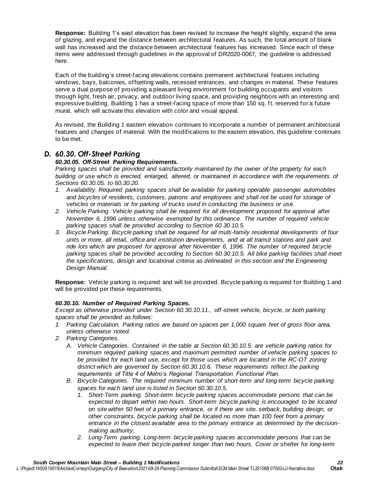**Response:** Building 1's east elevation has been revised to increase the height slightly, expand the area of glazing, and expand the distance between architectural features. As such, the total amount of blank wall has increased and the distance between architectural features has increased. Since each of these items were addressed through guidelines in the approval of DR2020-0067, the guideline is addressed here.

Each of the building's street-facing elevations contains permanent architectural features including windows, bays, balconies, offsetting walls, recessed entrances, and changes in material. These features serve a dual purpose of providing a pleasant living environment for building occupants and visitors through light, fresh air, privacy, and outdoor living space, and providing neighbors with an interesting and expressive building. Building 1 has a street-facing space of more than 150 sq. ft. reserved for a future mural, which will activate this elevation with color and visual appeal.

As revised, the Building 1 eastern elevation continues to incorporate a number of permanent architectural features and changes of material. With the modifications to the eastern elevation, this guideline continues to be met.

### *D. 60.30. Off-Street Parking*

#### *60.30.05. Off-Street Parking Requirements.*

*Parking spaces shall be provided and satisfactorily maintained by the owner of the property for each building or use which is erected, enlarged, altered, or maintained in accordance with the requirements of Sections 60.30.05. to 60.30.20.*

- *1. Availability. Required parking spaces shall be available for parking operable passenger automobiles and bicycles of residents, customers, patrons and employees and shall not be used for storage of vehicles or materials or for parking of trucks used in conducting the business or use.*
- *2. Vehicle Parking. Vehicle parking shall be required for all development proposed for approval after November 6, 1996 unless otherwise exempted by this ordinance. The number of required vehicle parking spaces shall be provided according to Section 60.30.10.5.*
- *3. Bicycle Parking. Bicycle parking shall be required for all multi-family residential developments of four units or more, all retail, office and institution developments, and at all transit stations and park and*  ride lots which are proposed for approval after November 6, 1996. The number of required bicycle *parking spaces shall be provided according to Section 60.30.10.5. All bike parking facilities shall meet the specifications, design and locational criteria as delineated in this section and the Engineering Design Manual.*

**Response:** Vehicle parking is required and will be provided. Bicycle parking is required for Building 1 and will be provided per these requirements.

#### *60.30.10. Number of Required Parking Spaces.*

*Except as otherwise provided under Section 60.30.10.11., off-street vehicle, bicycle, or both parking spaces shall be provided as follows:*

- *1. Parking Calculation. Parking ratios are based on spaces per 1,000 square feet of gross floor area, unless otherwise noted.*
- *2. Parking Categories.*
	- *A. Vehicle Categories. Contained in the table at Section 60.30.10.5. are vehicle parking ratios for minimum required parking spaces and maximum permitted number of vehicle parking spaces to be provided for each land use, except for those uses which are located in the RC-OT zoning district which are governed by Section 60.30.10.6. These requirements reflect the parking requirements of Title 4 of Metro's Regional Transportation Functional Plan.*
	- *B. Bicycle Categories. The required minimum number of short-term and long-term bicycle parking spaces for each land use is listed in Section 60.30.10.5.*
		- *1. Short-Term parking. Short-term bicycle parking spaces accommodate persons that can be expected to depart within two hours. Short-term bicycle parking is encouraged to be located on site within 50 feet of a primary entrance, or if there are site, setback, building design, or other constraints, bicycle parking shall be located no more than 100 feet from a primary entrance in the closest available area to the primary entrance as determined by the decisionmaking authority.*
		- *2. Long-Term parking. Long-term bicycle parking spaces accommodate persons that can be expected to leave their bicycle parked longer than two hours. Cover or shelter for long-term*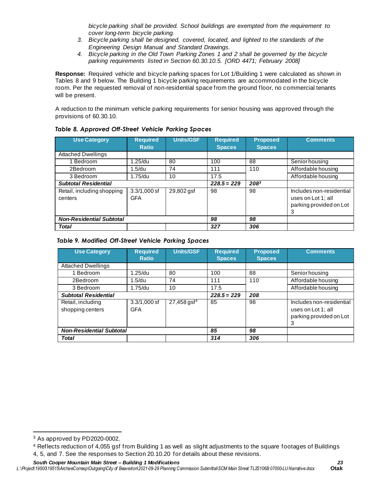*bicycle parking shall be provided. School buildings are exempted from the requirement to cover long-term bicycle parking.*

- *3. Bicycle parking shall be designed, covered, located, and lighted to the standards of the Engineering Design Manual and Standard Drawings.*
- *4. Bicycle parking in the Old Town Parking Zones 1 and 2 shall be governed by the bicycle parking requirements listed in Section 60.30.10.5. [ORD 4471; February 2008]*

**Response:** Required vehicle and bicycle parking spaces for Lot 1/Building 1 were calculated as shown in Tables 8 and 9 below. The Building 1 bicycle parking requirements are accommodated in the bicycle room. Per the requested removal of non-residential space from the ground floor, no commercial tenants will be present.

A reduction to the minimum vehicle parking requirements for senior housing was approved through the provisions of 60.30.10.

| <b>Use Category</b>                   | <b>Required</b><br><b>Ratio</b> | <b>Units/GSF</b> | <b>Required</b><br><b>Spaces</b> | <b>Proposed</b><br><b>Spaces</b> | <b>Comments</b>                                                                |
|---------------------------------------|---------------------------------|------------------|----------------------------------|----------------------------------|--------------------------------------------------------------------------------|
| <b>Attached Dwellings</b>             |                                 |                  |                                  |                                  |                                                                                |
| <b>Bedroom</b>                        | 1.25/du                         | 80               | 100                              | 88                               | Senior housing                                                                 |
| 2Bedroom                              | 1.5/du                          | 74               | 111                              | 110                              | Affordable housing                                                             |
| 3 Bedroom                             | $1.75$ /du                      | 10               | 17.5                             |                                  | Affordable housing                                                             |
| <b>Subtotal Residential</b>           |                                 |                  | $228.5 = 229$                    | $208^3$                          |                                                                                |
| Retail, including shopping<br>centers | $3.3/1,000$ sf<br><b>GFA</b>    | 29,802 gsf       | 98                               | 98                               | Includes non-residential<br>uses on Lot 1; all<br>parking provided on Lot<br>3 |
| <b>Non-Residential Subtotal</b>       |                                 |                  | 98                               | 98                               |                                                                                |
| <b>Total</b>                          |                                 |                  | 327                              | 306                              |                                                                                |

#### *Table 8. Approved Off-Street Vehicle Parking Spaces*

#### *Table 9. Modified Off-Street Vehicle Parking Spaces*

| <b>Use Category</b>             | <b>Required</b><br><b>Ratio</b> | <b>Units/GSF</b>          | <b>Required</b><br><b>Spaces</b> | <b>Proposed</b><br><b>Spaces</b> | <b>Comments</b>          |
|---------------------------------|---------------------------------|---------------------------|----------------------------------|----------------------------------|--------------------------|
| <b>Attached Dwellings</b>       |                                 |                           |                                  |                                  |                          |
| 1 Bedroom                       | 1.25/du                         | 80                        | 100                              | 88                               | Senior housing           |
| 2Bedroom                        | 1.5/du                          | 74                        | 111                              | 110                              | Affordable housing       |
| 3 Bedroom                       | 1.75/du                         | 10                        | 17.5                             |                                  | Affordable housing       |
| <b>Subtotal Residential</b>     |                                 |                           | $228.5 = 229$                    | 208                              |                          |
| Retail, including               | $3.3/1,000$ sf                  | $27,458$ gsf <sup>4</sup> | 85                               | 98                               | Includes non-residential |
| shopping centers                | <b>GFA</b>                      |                           |                                  |                                  | uses on Lot 1; all       |
|                                 |                                 |                           |                                  |                                  | parking provided on Lot  |
|                                 |                                 |                           |                                  |                                  | 3                        |
| <b>Non-Residential Subtotal</b> |                                 |                           | 85                               | 98                               |                          |
| <b>Total</b>                    |                                 |                           | 314                              | 306                              |                          |

<sup>3</sup> As approved by PD2020-0002.

<sup>4</sup> Reflects reduction of 4,055 gsf from Building 1 as well as slight adjustments to the square footages of Buildings 4, 5, and 7. See the responses to Section 20.10.20 for details about these revisions.